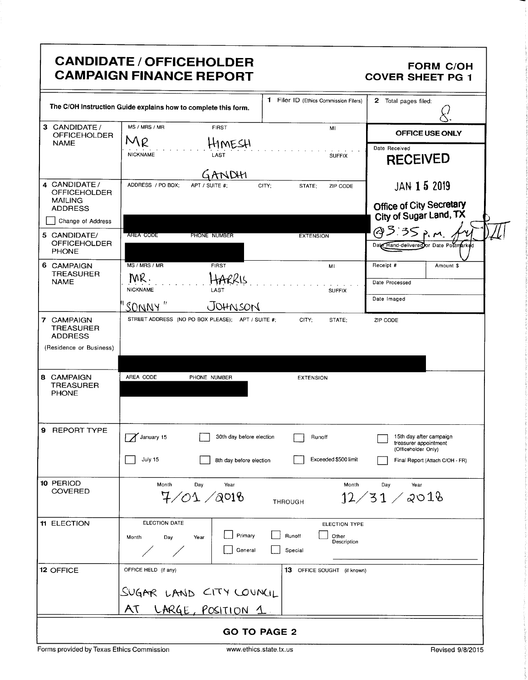|                                                                                            | <b>CANDIDATE / OFFICEHOLDER</b><br><b>CAMPAIGN FINANCE REPORT</b>        |                                                                   | <b>FORM C/OH</b><br><b>COVER SHEET PG 1</b>                             |
|--------------------------------------------------------------------------------------------|--------------------------------------------------------------------------|-------------------------------------------------------------------|-------------------------------------------------------------------------|
|                                                                                            | The C/OH Instruction Guide explains how to complete this form.           | 1 Filer ID (Ethics Commission Filers)                             | 2 Total pages filed:                                                    |
| 3 CANDIDATE /<br><b>OFFICEHOLDER</b><br><b>NAME</b>                                        | MS / MRS / MR<br><b>FIRST</b><br>MR<br>HIMESH<br><b>NICKNAME</b><br>LAST | MI                                                                | <b>OFFICE USE ONLY</b><br>Date Received                                 |
|                                                                                            | GANDHI                                                                   | <b>SUFFIX</b>                                                     | <b>RECEIVED</b>                                                         |
| 4 CANDIDATE /<br><b>OFFICEHOLDER</b><br><b>MAILING</b>                                     | ADDRESS / PO BOX:<br>APT / SUITE #:                                      | CITY;<br>STATE;<br>ZIP CODE                                       | JAN 15 2019<br>Office of City Secretary                                 |
| <b>ADDRESS</b><br>Change of Address                                                        |                                                                          |                                                                   | City of Sugar Land, TX                                                  |
| 5 CANDIDATE/<br><b>OFFICEHOLDER</b><br>PHONE                                               | AREA CODE<br>PHONE NUMBER                                                | <b>EXTENSION</b>                                                  | @3:35 p.m<br>Date Hand-delivered or Date Postmarked                     |
| 6 CAMPAIGN<br><b>TREASURER</b>                                                             | MS / MRS / MR<br><b>FIRST</b>                                            | MI                                                                | Receipt #<br>Amount \$                                                  |
| <b>NAME</b>                                                                                | MR.<br>HARRIS<br><b>NICKNAME</b><br><b>LAST</b>                          | <b>SUFFIX</b>                                                     | Date Processed<br>Date Imaged                                           |
| 7 CAMPAIGN<br><b>TREASURER</b>                                                             | SONNY"<br>JOHNSON<br>STREET ADDRESS (NO PO BOX PLEASE); APT / SUITE #;   | CITY;<br>STATE;                                                   | ZIP CODE                                                                |
| <b>ADDRESS</b>                                                                             |                                                                          |                                                                   |                                                                         |
|                                                                                            |                                                                          |                                                                   |                                                                         |
|                                                                                            | AREA CODE<br>PHONE NUMBER                                                | <b>EXTENSION</b>                                                  |                                                                         |
| (Residence or Business)<br>8 CAMPAIGN<br><b>TREASURER</b><br><b>PHONE</b><br>9 REPORT TYPE | January 15<br>30th day before election                                   | Runoff                                                            | 15th day after campaign<br>treasurer appointment<br>(Officeholder Only) |
|                                                                                            | July 15<br>8th day before election                                       | Exceeded \$500 limit                                              | Final Report (Attach C/OH - FR)                                         |
| 10 PERIOD<br><b>COVERED</b>                                                                | Month<br>Day<br>Year<br>7/01/0016                                        | Month<br><b>THROUGH</b>                                           | Day<br>Year<br>12/31/2018                                               |
| <b>11 ELECTION</b>                                                                         | ELECTION DATE<br>Primary<br>Month<br>Day<br>Year<br>General              | <b>ELECTION TYPE</b><br>Runoff<br>Other<br>Description<br>Special |                                                                         |
| 12 OFFICE                                                                                  | OFFICE HELD (if any)                                                     | 13 OFFICE SOUGHT (if known)                                       |                                                                         |
|                                                                                            | SUGAR LAND CITY COUNCIL                                                  |                                                                   |                                                                         |

Forms provided by Texas Ethics Commission www.ethics.state.tx.us Revised 9/8/2015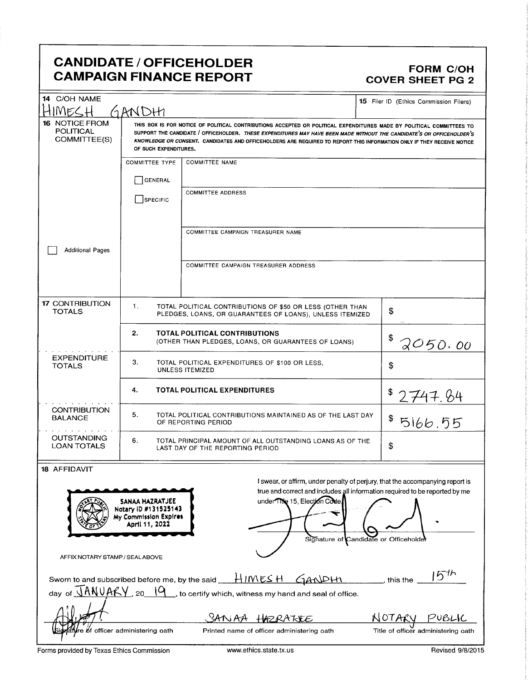## CANDIDATE / OFFICEHOLDER **CAMPAIGN FINANCE REPORT**

# **FORM C/OH<br>COVER SHEET PG 2**

| 14 C/OH NAME<br>MECH                                      | GANDHI                                                                                                                                                                                                                                                                                                                                                                                           |                                                                                                                                                                                                                                                                                                                                                                                                                                                                                                                                                                | 15 Filer ID (Ethics Commission Filers)                                                                                                                                                                 |  |  |
|-----------------------------------------------------------|--------------------------------------------------------------------------------------------------------------------------------------------------------------------------------------------------------------------------------------------------------------------------------------------------------------------------------------------------------------------------------------------------|----------------------------------------------------------------------------------------------------------------------------------------------------------------------------------------------------------------------------------------------------------------------------------------------------------------------------------------------------------------------------------------------------------------------------------------------------------------------------------------------------------------------------------------------------------------|--------------------------------------------------------------------------------------------------------------------------------------------------------------------------------------------------------|--|--|
| <b>16 NOTICE FROM</b><br><b>POLITICAL</b><br>COMMITTEE(S) | THIS BOX IS FOR NOTICE OF POLITICAL CONTRIBUTIONS ACCEPTED OR POLITICAL EXPENDITURES MADE BY POLITICAL COMMITTEES TO<br>SUPPORT THE CANDIDATE / OFFICEHOLDER. THESE EXPENDITURES MAY HAVE BEEN MADE WITHOUT THE CANDIDATE'S OR OFFICEHOLDER'S<br>KNOWLEDGE OR CONSENT. CANDIDATES AND OFFICEHOLDERS ARE REQUIRED TO REPORT THIS INFORMATION ONLY IF THEY RECEIVE NOTICE<br>OF SUCH EXPENDITURES. |                                                                                                                                                                                                                                                                                                                                                                                                                                                                                                                                                                |                                                                                                                                                                                                        |  |  |
|                                                           | <b>COMMITTEE TYPE</b><br>GENERAL<br><b>SPECIFIC</b>                                                                                                                                                                                                                                                                                                                                              | <b>COMMITTEE NAME</b><br><b>COMMITTEE ADDRESS</b>                                                                                                                                                                                                                                                                                                                                                                                                                                                                                                              |                                                                                                                                                                                                        |  |  |
| <b>Additional Pages</b>                                   |                                                                                                                                                                                                                                                                                                                                                                                                  | COMMITTEE CAMPAIGN TREASURER NAME                                                                                                                                                                                                                                                                                                                                                                                                                                                                                                                              |                                                                                                                                                                                                        |  |  |
|                                                           |                                                                                                                                                                                                                                                                                                                                                                                                  | COMMITTEE CAMPAIGN TREASURER ADDRESS                                                                                                                                                                                                                                                                                                                                                                                                                                                                                                                           |                                                                                                                                                                                                        |  |  |
| <b>17 CONTRIBUTION</b><br><b>TOTALS</b>                   | 1.                                                                                                                                                                                                                                                                                                                                                                                               | TOTAL POLITICAL CONTRIBUTIONS OF \$50 OR LESS (OTHER THAN<br>PLEDGES, LOANS, OR GUARANTEES OF LOANS), UNLESS ITEMIZED                                                                                                                                                                                                                                                                                                                                                                                                                                          | \$                                                                                                                                                                                                     |  |  |
|                                                           | 2.                                                                                                                                                                                                                                                                                                                                                                                               | <b>TOTAL POLITICAL CONTRIBUTIONS</b><br>(OTHER THAN PLEDGES, LOANS, OR GUARANTEES OF LOANS)                                                                                                                                                                                                                                                                                                                                                                                                                                                                    | 2050.00                                                                                                                                                                                                |  |  |
| <b>EXPENDITURE</b><br><b>TOTALS</b>                       | З.                                                                                                                                                                                                                                                                                                                                                                                               | TOTAL POLITICAL EXPENDITURES OF \$100 OR LESS,<br>UNLESS ITEMIZED                                                                                                                                                                                                                                                                                                                                                                                                                                                                                              | \$                                                                                                                                                                                                     |  |  |
|                                                           | 4.                                                                                                                                                                                                                                                                                                                                                                                               | <b>TOTAL POLITICAL EXPENDITURES</b>                                                                                                                                                                                                                                                                                                                                                                                                                                                                                                                            | 2747.84                                                                                                                                                                                                |  |  |
| <b>CONTRIBUTION</b><br><b>BALANCE</b>                     | 5.                                                                                                                                                                                                                                                                                                                                                                                               | TOTAL POLITICAL CONTRIBUTIONS MAINTAINED AS OF THE LAST DAY<br>OF REPORTING PERIOD                                                                                                                                                                                                                                                                                                                                                                                                                                                                             | \$<br>5166.55                                                                                                                                                                                          |  |  |
| <b>OUTSTANDING</b><br><b>LOAN TOTALS</b>                  | 6.<br>TOTAL PRINCIPAL AMOUNT OF ALL OUTSTANDING LOANS AS OF THE<br>LAST DAY OF THE REPORTING PERIOD                                                                                                                                                                                                                                                                                              | \$                                                                                                                                                                                                                                                                                                                                                                                                                                                                                                                                                             |                                                                                                                                                                                                        |  |  |
| <b>18 AFFIDAVIT</b><br>AFFIX NOTARY STAMP / SEALABOVE     | SANAA HAZRATJEE<br>Notary ID #131525143<br>My Commission Expires<br>April 11, 2022                                                                                                                                                                                                                                                                                                               | under Tille 15, Election Code.                                                                                                                                                                                                                                                                                                                                                                                                                                                                                                                                 | I swear, or affirm, under penalty of perjury, that the accompanying report is<br>true and correct and includes all information required to be reported by me<br>Signature of Candidate or Officeholder |  |  |
|                                                           |                                                                                                                                                                                                                                                                                                                                                                                                  | Sworn to and subscribed before me, by the said $\underline{\hspace{1em}H\,}\overline{\hspace{1em}}\overline{\hspace{1em}}\overline{\hspace{1em}}\overline{\hspace{1em}}\overline{\hspace{1em}}\overline{\hspace{1em}}\overline{\hspace{1em}}\overline{\hspace{1em}}\overline{\hspace{1em}}\overline{\hspace{1em}}\overline{\hspace{1em}}\overline{\hspace{1em}}\overline{\hspace{1em}}\overline{\hspace{1em}}\overline{\hspace{1em}}\overline{\hspace{1em}}$<br>day of $\sqrt{ANUAKY}$ , 20 $\sqrt{9}$ , to certify which, witness my hand and seal of office. | 15 <sup>th</sup><br>$\overline{\phantom{a}}$ , this the $\overline{\phantom{a}}$                                                                                                                       |  |  |
|                                                           |                                                                                                                                                                                                                                                                                                                                                                                                  | SANAA<br><b>HORATUEE</b>                                                                                                                                                                                                                                                                                                                                                                                                                                                                                                                                       | NOTARI<br>PUBLIC                                                                                                                                                                                       |  |  |
|                                                           | of officer administering oath                                                                                                                                                                                                                                                                                                                                                                    | Printed name of officer administering oath                                                                                                                                                                                                                                                                                                                                                                                                                                                                                                                     | Title of officer administering oath                                                                                                                                                                    |  |  |

Forms provided by Texas Ethics Commission www.ethics.state.tx.us Revised 9/8/2015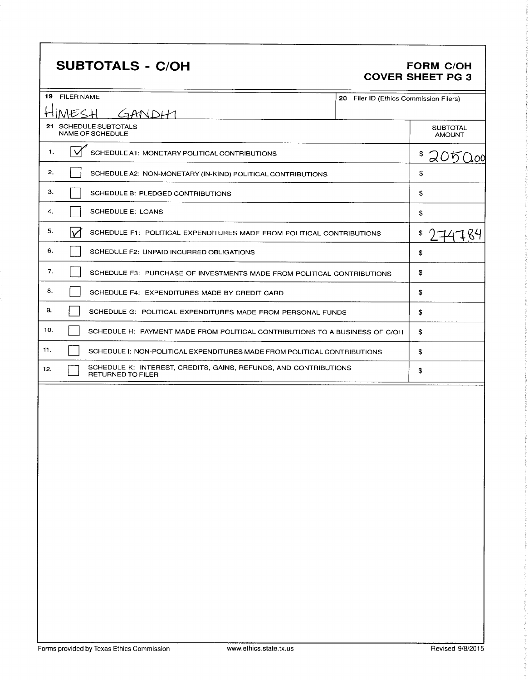## SUBTOTALS - C/OH FORM C/OH

# COVER SHEET PG 3

| 19 FILER NAME                                                                                       | 20 Filer ID (Ethics Commission Filers) |                                  |
|-----------------------------------------------------------------------------------------------------|----------------------------------------|----------------------------------|
| GANDHI<br>MESH<br>←                                                                                 |                                        |                                  |
| 21 SCHEDULE SUBTOTALS<br>NAME OF SCHEDULE                                                           |                                        | <b>SUBTOTAL</b><br><b>AMOUNT</b> |
| M<br>1.<br>SCHEDULE A1: MONETARY POLITICAL CONTRIBUTIONS                                            |                                        | \$<br>20500                      |
| 2.<br>SCHEDULE A2: NON-MONETARY (IN-KIND) POLITICAL CONTRIBUTIONS                                   |                                        | \$                               |
| З.<br>SCHEDULE B: PLEDGED CONTRIBUTIONS                                                             |                                        | \$                               |
| <b>SCHEDULE E: LOANS</b><br>4.                                                                      |                                        | \$                               |
| 5.<br>SCHEDULE F1: POLITICAL EXPENDITURES MADE FROM POLITICAL CONTRIBUTIONS                         |                                        | \$                               |
| 6.<br>SCHEDULE F2: UNPAID INCURRED OBLIGATIONS                                                      |                                        | \$                               |
| 7.<br>SCHEDULE F3: PURCHASE OF INVESTMENTS MADE FROM POLITICAL CONTRIBUTIONS                        |                                        | \$                               |
| 8.<br>SCHEDULE F4: EXPENDITURES MADE BY CREDIT CARD                                                 |                                        | \$                               |
| 9.<br>SCHEDULE G: POLITICAL EXPENDITURES MADE FROM PERSONAL FUNDS                                   |                                        | \$                               |
| 10.<br>SCHEDULE H: PAYMENT MADE FROM POLITICAL CONTRIBUTIONS TO A BUSINESS OF C/OH                  |                                        | \$                               |
| 11.<br>SCHEDULE I: NON-POLITICAL EXPENDITURES MADE FROM POLITICAL CONTRIBUTIONS                     |                                        | \$                               |
| SCHEDULE K: INTEREST, CREDITS, GAINS, REFUNDS, AND CONTRIBUTIONS<br>12.<br><b>RETURNED TO FILER</b> |                                        | \$                               |
|                                                                                                     |                                        |                                  |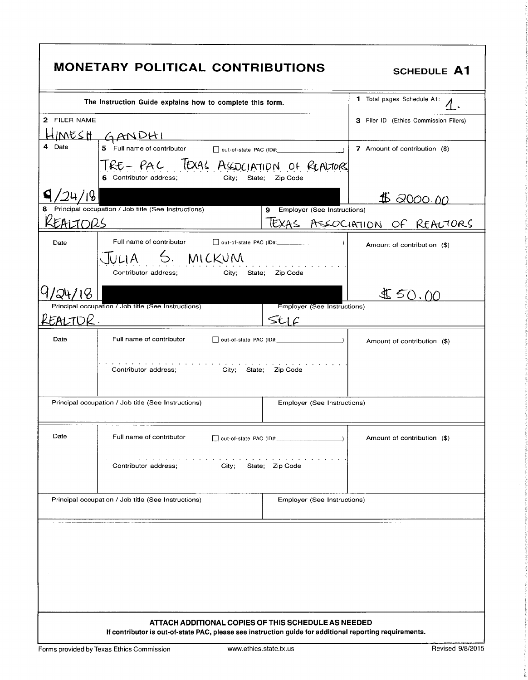|                                                  | <b>MONETARY POLITICAL CONTRIBUTIONS</b>                                                                                                                        |                                   | <b>SCHEDULE A1</b>                    |  |  |  |
|--------------------------------------------------|----------------------------------------------------------------------------------------------------------------------------------------------------------------|-----------------------------------|---------------------------------------|--|--|--|
|                                                  | The Instruction Guide explains how to complete this form.                                                                                                      | <b>1</b> Total pages Schedule A1: |                                       |  |  |  |
| 2 FILER NAME                                     |                                                                                                                                                                |                                   | 3 Filer ID (Ethics Commission Filers) |  |  |  |
|                                                  | <u>MESH GANDHI</u>                                                                                                                                             |                                   |                                       |  |  |  |
| Date                                             | 5 Full name of contributor                                                                                                                                     |                                   | 7 Amount of contribution (\$)         |  |  |  |
|                                                  | TRE-PAC TEXAS ASSOCIATION OF REALTORY<br>6 Contributor address;<br>City:                                                                                       | State; Zip Code                   |                                       |  |  |  |
| 15                                               |                                                                                                                                                                |                                   | \$ 2000.00                            |  |  |  |
|                                                  | Principal occupation / Job title (See Instructions)                                                                                                            | Employer (See Instructions)<br>9  |                                       |  |  |  |
| EAIJORS                                          |                                                                                                                                                                | <b>IEXAS</b><br>ASSOCIATION       | REACTORS<br>$\circ$ F                 |  |  |  |
| Date                                             | Full name of contributor                                                                                                                                       |                                   | Amount of contribution (\$)           |  |  |  |
|                                                  | 5. MICKUM<br>Contributor address;                                                                                                                              | City: State: Zip Code             |                                       |  |  |  |
|                                                  |                                                                                                                                                                |                                   | \$50.00                               |  |  |  |
|                                                  | Principal occupation / Job title (See Instructions)                                                                                                            | Employer (See Instructions)       |                                       |  |  |  |
| REALTOK.                                         |                                                                                                                                                                | StC                               |                                       |  |  |  |
| Date                                             | Full name of contributor                                                                                                                                       |                                   | Amount of contribution (\$)           |  |  |  |
|                                                  | Contributor address;<br>City; State; Zip Code                                                                                                                  |                                   |                                       |  |  |  |
|                                                  | Principal occupation / Job title (See Instructions)                                                                                                            | Employer (See Instructions)       |                                       |  |  |  |
| Date                                             | Full name of contributor                                                                                                                                       | out-of-state PAC (ID#:            | Amount of contribution (\$)           |  |  |  |
| State; Zip Code<br>Contributor address;<br>City; |                                                                                                                                                                |                                   |                                       |  |  |  |
|                                                  | Principal occupation / Job title (See Instructions)                                                                                                            | Employer (See Instructions)       |                                       |  |  |  |
|                                                  |                                                                                                                                                                |                                   |                                       |  |  |  |
|                                                  | ATTACH ADDITIONAL COPIES OF THIS SCHEDULE AS NEEDED<br>If contributor is out-of-state PAC, please see instruction guide for additional reporting requirements. |                                   |                                       |  |  |  |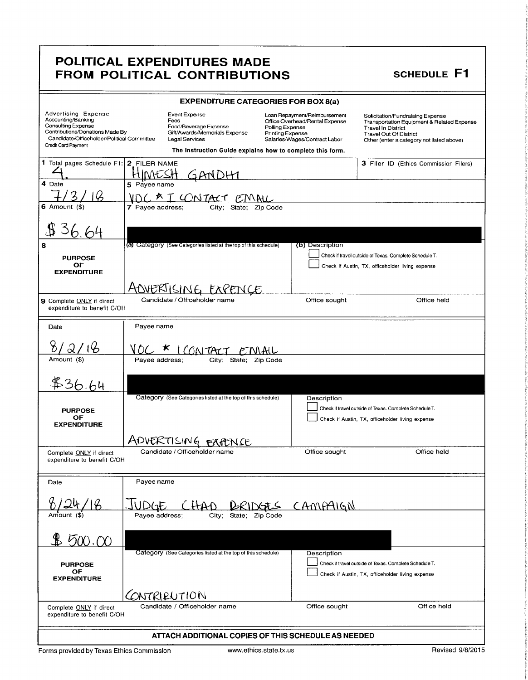|                                                                                                                                                                                       |                         | <b>EXPENDITURE CATEGORIES FOR BOX 8(a)</b>                                                                                                                     |                                     |                                                                                                 |                                                                                                |                                                                                         |
|---------------------------------------------------------------------------------------------------------------------------------------------------------------------------------------|-------------------------|----------------------------------------------------------------------------------------------------------------------------------------------------------------|-------------------------------------|-------------------------------------------------------------------------------------------------|------------------------------------------------------------------------------------------------|-----------------------------------------------------------------------------------------|
| <b>Advertising Expense</b><br>Accounting/Banking<br><b>Consulting Expense</b><br>Contributions/Donations Made By<br>Candidate/Officeholder/Political Committee<br>Credit Card Payment |                         | Event Expense<br>Fees<br>Food/Beverage Expense<br>Gift/Awards/Memorials Expense<br>Legal Services<br>The Instruction Guide explains how to complete this form. | Polling Expense<br>Printing Expense | Loan Repayment/Reimbursement<br>Office Overhead/Rental Expense<br>Salaries/Wages/Contract Labor | Solicitation/Fundraising Expense<br><b>Travel In District</b><br><b>Travel Out Of District</b> | Transportation Equipment & Related Expense<br>Other (enter a category not listed above) |
| 1 Total pages Schedule F1: 2 FILER NAME                                                                                                                                               |                         |                                                                                                                                                                |                                     |                                                                                                 |                                                                                                |                                                                                         |
|                                                                                                                                                                                       |                         |                                                                                                                                                                |                                     |                                                                                                 |                                                                                                | 3 Filer ID (Ethics Commission Filers)                                                   |
| 4 Date                                                                                                                                                                                | 5 Payee name            |                                                                                                                                                                |                                     |                                                                                                 |                                                                                                |                                                                                         |
|                                                                                                                                                                                       |                         | VOC * I CONTACT EMAIL                                                                                                                                          |                                     |                                                                                                 |                                                                                                |                                                                                         |
| $6$ Amount $($ )                                                                                                                                                                      | 7 Payee address;        | City,                                                                                                                                                          | State;                              |                                                                                                 |                                                                                                |                                                                                         |
|                                                                                                                                                                                       |                         |                                                                                                                                                                |                                     |                                                                                                 |                                                                                                |                                                                                         |
| 8                                                                                                                                                                                     |                         | (a) Category (See Categories listed at the top of this schedule)                                                                                               |                                     | (b) Description                                                                                 |                                                                                                |                                                                                         |
| <b>PURPOSE</b>                                                                                                                                                                        |                         |                                                                                                                                                                |                                     |                                                                                                 | Check if travel outside of Texas. Complete Schedule T.                                         |                                                                                         |
| OF<br><b>EXPENDITURE</b>                                                                                                                                                              |                         |                                                                                                                                                                |                                     |                                                                                                 | Check if Austin, TX, officeholder living expense                                               |                                                                                         |
|                                                                                                                                                                                       |                         |                                                                                                                                                                |                                     |                                                                                                 |                                                                                                |                                                                                         |
|                                                                                                                                                                                       |                         | ADVERTISING EXPENCE<br>Candidate / Officeholder name                                                                                                           |                                     |                                                                                                 |                                                                                                | Office held                                                                             |
| 9 Complete ONLY if direct<br>expenditure to benefit C/OH                                                                                                                              |                         |                                                                                                                                                                |                                     | Office sought                                                                                   |                                                                                                |                                                                                         |
| Date                                                                                                                                                                                  | Payee name              |                                                                                                                                                                |                                     |                                                                                                 |                                                                                                |                                                                                         |
| ' Q ,                                                                                                                                                                                 |                         | <u>VOC * ICONTACT EMAIL</u>                                                                                                                                    |                                     |                                                                                                 |                                                                                                |                                                                                         |
| Amount (\$)                                                                                                                                                                           | Payee address;          | City; State;                                                                                                                                                   |                                     |                                                                                                 |                                                                                                |                                                                                         |
|                                                                                                                                                                                       |                         |                                                                                                                                                                |                                     |                                                                                                 |                                                                                                |                                                                                         |
|                                                                                                                                                                                       |                         | Category (See Categories listed at the top of this schedule)                                                                                                   |                                     | Description                                                                                     |                                                                                                |                                                                                         |
| <b>PURPOSE</b><br>OF                                                                                                                                                                  |                         |                                                                                                                                                                |                                     |                                                                                                 | Check if travel outside of Texas. Complete Schedule T.                                         |                                                                                         |
| <b>EXPENDITURE</b>                                                                                                                                                                    |                         |                                                                                                                                                                |                                     |                                                                                                 | Check if Austin, TX, officeholder living expense                                               |                                                                                         |
|                                                                                                                                                                                       |                         | ADVERTISING FRAENSE                                                                                                                                            |                                     |                                                                                                 |                                                                                                |                                                                                         |
| Complete <b>ONLY</b> if direct<br>expenditure to benefit C/OH                                                                                                                         |                         | Candidate / Officeholder name                                                                                                                                  |                                     | Office sought                                                                                   |                                                                                                | Office held                                                                             |
| Date                                                                                                                                                                                  | Payee name              |                                                                                                                                                                |                                     |                                                                                                 |                                                                                                |                                                                                         |
|                                                                                                                                                                                       | JUDGE<br>Payee address; |                                                                                                                                                                | City; State; Zip Code               | CHAD BRIDGES CAMPAIGN                                                                           |                                                                                                |                                                                                         |
| \$500.00                                                                                                                                                                              |                         |                                                                                                                                                                |                                     |                                                                                                 |                                                                                                |                                                                                         |
|                                                                                                                                                                                       |                         | Category (See Categories listed at the top of this schedule)                                                                                                   |                                     | Description                                                                                     |                                                                                                |                                                                                         |
| <b>PURPOSE</b><br>OF                                                                                                                                                                  |                         |                                                                                                                                                                |                                     |                                                                                                 | Check if travel outside of Texas. Complete Schedule T.                                         |                                                                                         |
| <b>EXPENDITURE</b>                                                                                                                                                                    |                         |                                                                                                                                                                |                                     |                                                                                                 | Check if Austin, TX, officeholder living expense                                               |                                                                                         |
|                                                                                                                                                                                       |                         | CONTRIBUTION                                                                                                                                                   |                                     |                                                                                                 |                                                                                                |                                                                                         |
| Complete ONLY if direct<br>expenditure to benefit C/OH                                                                                                                                |                         | Candidate / Officeholder name                                                                                                                                  |                                     | Office sought                                                                                   |                                                                                                | Office held                                                                             |
|                                                                                                                                                                                       |                         | ATTACH ADDITIONAL COPIES OF THIS SCHEDULE AS NEEDED                                                                                                            |                                     |                                                                                                 |                                                                                                |                                                                                         |
| Forms provided by Texas Ethics Commission                                                                                                                                             |                         |                                                                                                                                                                | www.ethics.state.tx.us              |                                                                                                 |                                                                                                | Revised 9/8/2015                                                                        |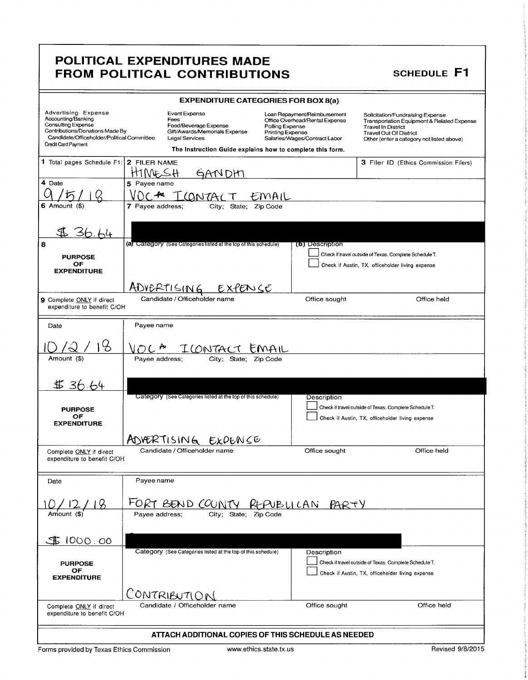| <b>EXPENDITURE CATEGORIES FOR BOX 8(a)</b>                                                                                                                              |                                                                                                                                                                |                                                                                                                                        |                                                                                                                                                                                           |  |  |  |
|-------------------------------------------------------------------------------------------------------------------------------------------------------------------------|----------------------------------------------------------------------------------------------------------------------------------------------------------------|----------------------------------------------------------------------------------------------------------------------------------------|-------------------------------------------------------------------------------------------------------------------------------------------------------------------------------------------|--|--|--|
| Advertising Expense<br>Accounting/Banking<br>Consulting Expense<br>Contributions/Donations Made By<br>Candidate/Officeholder/Political Committee<br>Credit Card Payment | Event Expense<br>Fees<br>Food/Beverage Expense<br>Gift/Awards/Memorials Expense<br>Legal Services<br>The Instruction Guide explains how to complete this form. | Loan Repayment/Reimbursement<br>Office Overhead/Rental Expense<br>Polling Expense<br>Printing Expense<br>Salaries/Wages/Contract Labor | Solicitation/Fundraising Expense<br>Transportation Equipment & Related Expense<br><b>Travel In District</b><br><b>Travel Out Of District</b><br>Other (enter a category not listed above) |  |  |  |
| 1 Total pages Schedule F1: 2 FILER NAME                                                                                                                                 | NFSH<br>GANDHI                                                                                                                                                 |                                                                                                                                        | 3 Filer ID (Ethics Commission Filers)                                                                                                                                                     |  |  |  |
| 4 Date                                                                                                                                                                  | 5 Payee name<br>CONTAC                                                                                                                                         | EMAIL                                                                                                                                  |                                                                                                                                                                                           |  |  |  |
| $6$ Amount $($ 8)                                                                                                                                                       | 7 Payee address:<br>City;<br>State:<br>Zip Code                                                                                                                |                                                                                                                                        |                                                                                                                                                                                           |  |  |  |
| $\mathbb{T}$ . To<br>8<br><b>PURPOSE</b><br>ОF<br><b>EXPENDITURE</b>                                                                                                    | (a) Category (See Categories listed at the top of this schedule)                                                                                               | (b) Description                                                                                                                        | Check if travel outside of Texas. Complete Schedule T.<br>Check if Austin, TX, officeholder living expense                                                                                |  |  |  |
|                                                                                                                                                                         | ADVERTISING<br>ENSE                                                                                                                                            |                                                                                                                                        |                                                                                                                                                                                           |  |  |  |
| 9 Complete ONLY if direct<br>expenditure to benefit C/OH                                                                                                                | Candidate / Officeholder name                                                                                                                                  | Office sought                                                                                                                          | Office held                                                                                                                                                                               |  |  |  |
| Date                                                                                                                                                                    | Payee name                                                                                                                                                     |                                                                                                                                        |                                                                                                                                                                                           |  |  |  |
|                                                                                                                                                                         | $O(L^{\frac{1}{12}})$<br>ILONTACT                                                                                                                              |                                                                                                                                        |                                                                                                                                                                                           |  |  |  |
| Amount (\$)                                                                                                                                                             | Payee address;<br>City: State; Zip Code                                                                                                                        |                                                                                                                                        |                                                                                                                                                                                           |  |  |  |
| \$36.64                                                                                                                                                                 |                                                                                                                                                                |                                                                                                                                        |                                                                                                                                                                                           |  |  |  |
| <b>PURPOSE</b><br>OF<br><b>EXPENDITURE</b>                                                                                                                              | Category (See Categories listed at the top of this schedule)                                                                                                   | Description                                                                                                                            | Check if travel outside of Texas. Complete Schedule T.<br>Check if Austin, TX, officeholder living expense                                                                                |  |  |  |
|                                                                                                                                                                         | ADVERTISING EXPENSE                                                                                                                                            |                                                                                                                                        |                                                                                                                                                                                           |  |  |  |
| Complete ONLY if direct<br>expenditure to benefit C/OH                                                                                                                  | Candidate / Officeholder name                                                                                                                                  | Office sought                                                                                                                          | Office held                                                                                                                                                                               |  |  |  |
| Date                                                                                                                                                                    | Payee name                                                                                                                                                     |                                                                                                                                        |                                                                                                                                                                                           |  |  |  |
| Amount (\$)                                                                                                                                                             | FORT BEND COUNTY REPUBLICAN PARTY<br>Payee address;<br>City; State; Zip Code                                                                                   |                                                                                                                                        |                                                                                                                                                                                           |  |  |  |
| 1000.00<br><b>PURPOSE</b><br>OF<br><b>EXPENDITURE</b>                                                                                                                   | Category (See Categories listed at the top of this schedule)                                                                                                   | Description                                                                                                                            | Check if travel outside of Texas. Complete Schedule T.<br>Check if Austin, TX, officeholder living expense                                                                                |  |  |  |
| Complete ONLY if direct<br>expenditure to benefit C/OH                                                                                                                  | CONTRIBUTION<br>Candidate / Officeholder name                                                                                                                  | Office sought                                                                                                                          | Office held                                                                                                                                                                               |  |  |  |
|                                                                                                                                                                         | ATTACH ADDITIONAL COPIES OF THIS SCHEDULE AS NEEDED                                                                                                            |                                                                                                                                        |                                                                                                                                                                                           |  |  |  |
|                                                                                                                                                                         | Revised 9/8/2015<br>www.ethics.state.tx.us<br>Forms provided by Texas Ethics Commission                                                                        |                                                                                                                                        |                                                                                                                                                                                           |  |  |  |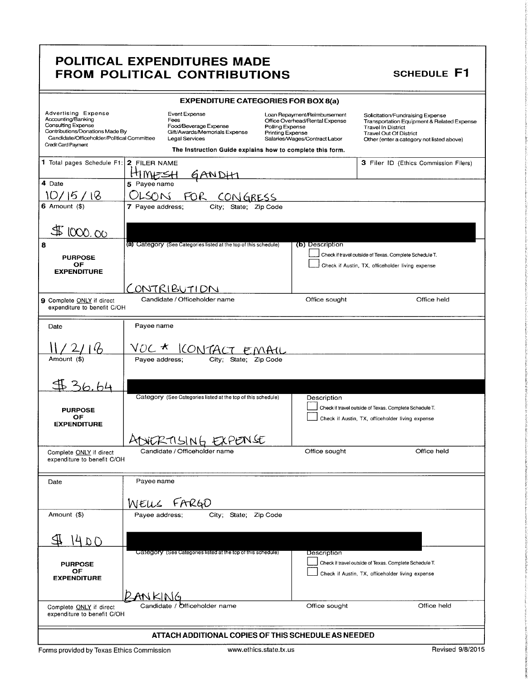| <b>EXPENDITURE CATEGORIES FOR BOX 8(a)</b>                                                                                                                                                   |                  |                                                                                                                                                                |                                     |                                                                                                 |                                                                                                                                             |                                            |
|----------------------------------------------------------------------------------------------------------------------------------------------------------------------------------------------|------------------|----------------------------------------------------------------------------------------------------------------------------------------------------------------|-------------------------------------|-------------------------------------------------------------------------------------------------|---------------------------------------------------------------------------------------------------------------------------------------------|--------------------------------------------|
| <b>Advertising Expense</b><br>Accounting/Banking<br><b>Consulting Expense</b><br>Contributions/Donations Made By<br>Candidate/Officeholder/Political Committee<br><b>Credit Card Payment</b> |                  | Event Expense<br>Fees<br>Food/Beverage Expense<br>Gift/Awards/Memorials Expense<br>Legal Services<br>The Instruction Guide explains how to complete this form. | Polling Expense<br>Printing Expense | Loan Repayment/Reimbursement<br>Office Overhead/Rental Expense<br>Salaries/Wages/Contract Labor | Solicitation/Fundraising Expense<br><b>Travel In District</b><br><b>Travel Out Of District</b><br>Other (enter a category not listed above) | Transportation Equipment & Related Expense |
| 1 Total pages Schedule F1: 2 FILER NAME                                                                                                                                                      |                  |                                                                                                                                                                |                                     |                                                                                                 | 3 Filer ID (Ethics Commission Filers)                                                                                                       |                                            |
|                                                                                                                                                                                              | MIZSH            | <u>GANDH</u>                                                                                                                                                   |                                     |                                                                                                 |                                                                                                                                             |                                            |
| 4 Date                                                                                                                                                                                       | 5 Payee name     |                                                                                                                                                                |                                     |                                                                                                 |                                                                                                                                             |                                            |
| 10/15/18                                                                                                                                                                                     |                  | OLSON FOR CONGRESS                                                                                                                                             |                                     |                                                                                                 |                                                                                                                                             |                                            |
| 6 Amount $(\$)$                                                                                                                                                                              | 7 Payee address; | State; Zip Code<br>City,                                                                                                                                       |                                     |                                                                                                 |                                                                                                                                             |                                            |
|                                                                                                                                                                                              |                  |                                                                                                                                                                |                                     |                                                                                                 |                                                                                                                                             |                                            |
| 1000.00                                                                                                                                                                                      |                  |                                                                                                                                                                |                                     |                                                                                                 |                                                                                                                                             |                                            |
| 8                                                                                                                                                                                            |                  | (a) Category (See Categories listed at the top of this schedule)                                                                                               |                                     | (b) Description                                                                                 |                                                                                                                                             |                                            |
| <b>PURPOSE</b>                                                                                                                                                                               |                  |                                                                                                                                                                |                                     |                                                                                                 | Check if travel outside of Texas. Complete Schedule T.                                                                                      |                                            |
| OF                                                                                                                                                                                           |                  |                                                                                                                                                                |                                     |                                                                                                 | Check if Austin, TX, officeholder living expense                                                                                            |                                            |
| <b>EXPENDITURE</b>                                                                                                                                                                           |                  |                                                                                                                                                                |                                     |                                                                                                 |                                                                                                                                             |                                            |
|                                                                                                                                                                                              |                  | CONTRIBUTION                                                                                                                                                   |                                     |                                                                                                 |                                                                                                                                             |                                            |
| 9 Complete ONLY if direct<br>expenditure to benefit C/OH                                                                                                                                     |                  | Candidate / Officeholder name                                                                                                                                  |                                     | Office sought                                                                                   |                                                                                                                                             | Office held                                |
| Date                                                                                                                                                                                         | Payee name       |                                                                                                                                                                |                                     |                                                                                                 |                                                                                                                                             |                                            |
|                                                                                                                                                                                              |                  |                                                                                                                                                                |                                     |                                                                                                 |                                                                                                                                             |                                            |
|                                                                                                                                                                                              |                  | <u>VOC * ICONTACT EMAIL</u>                                                                                                                                    |                                     |                                                                                                 |                                                                                                                                             |                                            |
| Amount (\$)                                                                                                                                                                                  | Payee address;   | City; State; Zip Code                                                                                                                                          |                                     |                                                                                                 |                                                                                                                                             |                                            |
|                                                                                                                                                                                              |                  |                                                                                                                                                                |                                     |                                                                                                 |                                                                                                                                             |                                            |
| 436.64                                                                                                                                                                                       |                  |                                                                                                                                                                |                                     |                                                                                                 |                                                                                                                                             |                                            |
|                                                                                                                                                                                              |                  | Category (See Categories listed at the top of this schedule)                                                                                                   |                                     | Description                                                                                     |                                                                                                                                             |                                            |
| <b>PURPOSE</b>                                                                                                                                                                               |                  |                                                                                                                                                                |                                     |                                                                                                 | Check if travel outside of Texas. Complete Schedule T.                                                                                      |                                            |
| ОF                                                                                                                                                                                           |                  |                                                                                                                                                                |                                     |                                                                                                 | Check if Austin, TX, officeholder living expense                                                                                            |                                            |
| <b>EXPENDITURE</b>                                                                                                                                                                           |                  |                                                                                                                                                                |                                     |                                                                                                 |                                                                                                                                             |                                            |
|                                                                                                                                                                                              |                  | KUSING EXPENSE                                                                                                                                                 |                                     |                                                                                                 |                                                                                                                                             |                                            |
| Complete ONLY if direct                                                                                                                                                                      |                  | Candidate / Officeholder name                                                                                                                                  |                                     | Office sought                                                                                   |                                                                                                                                             | Office held                                |
| expenditure to benefit C/OH                                                                                                                                                                  |                  |                                                                                                                                                                |                                     |                                                                                                 |                                                                                                                                             |                                            |
|                                                                                                                                                                                              | Payee name       |                                                                                                                                                                |                                     |                                                                                                 |                                                                                                                                             |                                            |
| Date                                                                                                                                                                                         |                  |                                                                                                                                                                |                                     |                                                                                                 |                                                                                                                                             |                                            |
|                                                                                                                                                                                              |                  | WELLS FARGO                                                                                                                                                    |                                     |                                                                                                 |                                                                                                                                             |                                            |
| Amount (\$)                                                                                                                                                                                  | Payee address;   | City; State; Zip Code                                                                                                                                          |                                     |                                                                                                 |                                                                                                                                             |                                            |
|                                                                                                                                                                                              |                  |                                                                                                                                                                |                                     |                                                                                                 |                                                                                                                                             |                                            |
| 14 D O                                                                                                                                                                                       |                  |                                                                                                                                                                |                                     |                                                                                                 |                                                                                                                                             |                                            |
|                                                                                                                                                                                              |                  | Category (See Categories listed at the top of this schedule)                                                                                                   |                                     | Description                                                                                     |                                                                                                                                             |                                            |
| <b>PURPOSE</b>                                                                                                                                                                               |                  |                                                                                                                                                                |                                     |                                                                                                 | Check if travel outside of Texas. Complete Schedule T.                                                                                      |                                            |
| OF                                                                                                                                                                                           |                  |                                                                                                                                                                |                                     |                                                                                                 | Check if Austin, TX, officeholder living expense                                                                                            |                                            |
| <b>EXPENDITURE</b>                                                                                                                                                                           |                  |                                                                                                                                                                |                                     |                                                                                                 |                                                                                                                                             |                                            |
|                                                                                                                                                                                              | AN KIN           |                                                                                                                                                                |                                     |                                                                                                 |                                                                                                                                             |                                            |
| Complete ONLY if direct                                                                                                                                                                      |                  | Candidate / Officeholder name                                                                                                                                  |                                     | Office sought                                                                                   |                                                                                                                                             | Office held                                |
| expenditure to benefit C/OH                                                                                                                                                                  |                  |                                                                                                                                                                |                                     |                                                                                                 |                                                                                                                                             |                                            |
| ATTACH ADDITIONAL COPIES OF THIS SCHEDULE AS NEEDED                                                                                                                                          |                  |                                                                                                                                                                |                                     |                                                                                                 |                                                                                                                                             |                                            |
|                                                                                                                                                                                              |                  |                                                                                                                                                                |                                     |                                                                                                 |                                                                                                                                             |                                            |

t

I

s

**family** Company of E